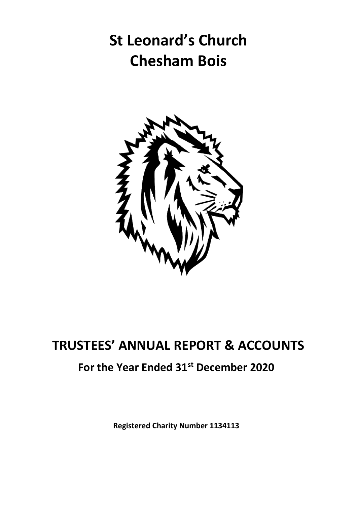# **St Leonard's Church Chesham Bois**



# **TRUSTEES' ANNUAL REPORT & ACCOUNTS**

# **For the Year Ended 31st December 2020**

**Registered Charity Number 1134113**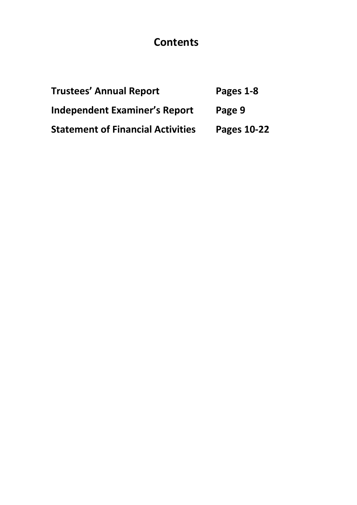# **Contents**

| <b>Trustees' Annual Report</b>           | Pages 1-8   |
|------------------------------------------|-------------|
| <b>Independent Examiner's Report</b>     | Page 9      |
| <b>Statement of Financial Activities</b> | Pages 10-22 |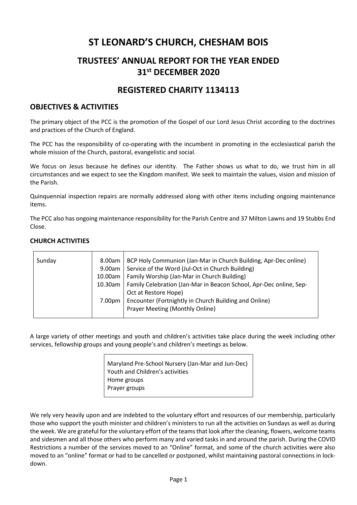# **ST LEONARD'S CHURCH, CHESHAM BOIS**

# **TRUSTEES' ANNUAL REPORT FOR THE YEAR ENDED 31st DECEMBER 2020**

# **REGISTERED CHARITY 1134113**

## **OBJECTIVES & ACTIVITIES**

The primary object of the PCC is the promotion of the Gospel of our Lord Jesus Christ according to the doctrines and practices of the Church of England.

The PCC has the responsibility of co-operating with the incumbent in promoting in the ecclesiastical parish the whole mission of the Church, pastoral, evangelistic and social.

We focus on Jesus because he defines our identity. The Father shows us what to do, we trust him in all circumstances and we expect to see the Kingdom manifest. We seek to maintain the values, vision and mission of the Parish.

Quinquennial inspection repairs are normally addressed along with other items including ongoing maintenance items.

The PCC also has ongoing maintenance responsibility for the Parish Centre and 37 Milton Lawns and 19 Stubbs End Close.

#### **CHURCH ACTIVITIES**

| BCP Holy Communion (Jan-Mar in Church Building, Apr-Dec online)<br>8.00am<br>Sunday<br>Service of the Word (Jul-Oct in Church Building)<br>9.00am<br>Family Worship (Jan-Mar in Church Building)<br>10.00am<br>Family Celebration (Jan-Mar in Beacon School, Apr-Dec online, Sep-<br>10.30am  <br>Oct at Restore Hope)<br>Encounter (Fortnightly in Church Building and Online)<br>7.00pm<br>Prayer Meeting (Monthly Online) |  |
|------------------------------------------------------------------------------------------------------------------------------------------------------------------------------------------------------------------------------------------------------------------------------------------------------------------------------------------------------------------------------------------------------------------------------|--|
|------------------------------------------------------------------------------------------------------------------------------------------------------------------------------------------------------------------------------------------------------------------------------------------------------------------------------------------------------------------------------------------------------------------------------|--|

A large variety of other meetings and youth and children's activities take place during the week including other services, fellowship groups and young people's and children's meetings as below.

> Maryland Pre-School Nursery (Jan-Mar and Jun-Dec) Youth and Children's activities Home groups Prayer groups

We rely very heavily upon and are indebted to the voluntary effort and resources of our membership, particularly those who support the youth minister and children's ministers to run all the activities on Sundays as well as during the week. We are grateful for the voluntary effort of the teams that look after the cleaning, flowers, welcome teams and sidesmen and all those others who perform many and varied tasks in and around the parish. During the COVID Restrictions a number of the services moved to an "Online" format, and some of the church activities were also moved to an "online" format or had to be cancelled or postponed, whilst maintaining pastoral connections in lockdown.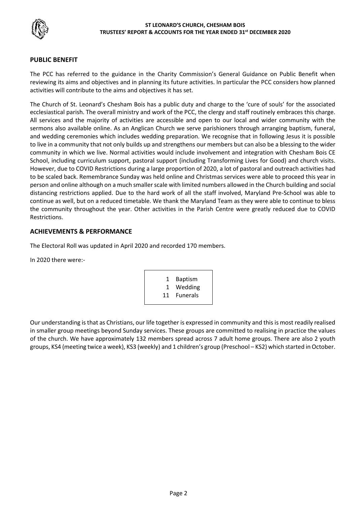

#### **PUBLIC BENEFIT**

The PCC has referred to the guidance in the Charity Commission's General Guidance on Public Benefit when reviewing its aims and objectives and in planning its future activities. In particular the PCC considers how planned activities will contribute to the aims and objectives it has set.

The Church of St. Leonard's Chesham Bois has a public duty and charge to the 'cure of souls' for the associated ecclesiastical parish. The overall ministry and work of the PCC, the clergy and staff routinely embraces this charge. All services and the majority of activities are accessible and open to our local and wider community with the sermons also available online. As an Anglican Church we serve parishioners through arranging baptism, funeral, and wedding ceremonies which includes wedding preparation. We recognise that in following Jesus it is possible to live in a community that not only builds up and strengthens our members but can also be a blessing to the wider community in which we live. Normal activities would include involvement and integration with Chesham Bois CE School, including curriculum support, pastoral support (including Transforming Lives for Good) and church visits. However, due to COVID Restrictions during a large proportion of 2020, a lot of pastoral and outreach activities had to be scaled back. Remembrance Sunday was held online and Christmas services were able to proceed this year in person and online although on a much smaller scale with limited numbers allowed in the Church building and social distancing restrictions applied. Due to the hard work of all the staff involved, Maryland Pre-School was able to continue as well, but on a reduced timetable. We thank the Maryland Team as they were able to continue to bless the community throughout the year. Other activities in the Parish Centre were greatly reduced due to COVID Restrictions.

#### **ACHIEVEMENTS & PERFORMANCE**

The Electoral Roll was updated in April 2020 and recorded 170 members.

In 2020 there were:-

| <b>Baptism</b> |
|----------------|
| Wedding        |
| 11 Funerals    |
|                |

Our understanding is that as Christians, our life together is expressed in community and this is most readily realised in smaller group meetings beyond Sunday services. These groups are committed to realising in practice the values of the church. We have approximately 132 members spread across 7 adult home groups. There are also 2 youth groups, KS4 (meeting twice a week), KS3 (weekly) and 1 children's group (Preschool – KS2) which started in October.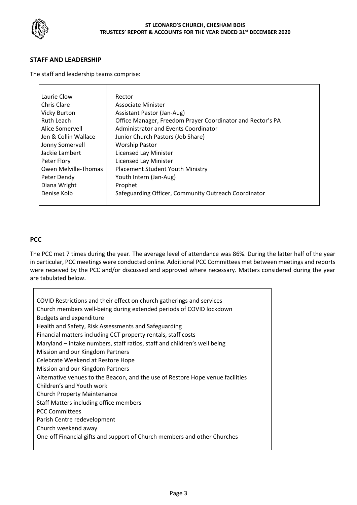

#### **STAFF AND LEADERSHIP**

The staff and leadership teams comprise:

| Laurie Clow          | Rector                                                     |
|----------------------|------------------------------------------------------------|
| Chris Clare          | Associate Minister                                         |
| <b>Vicky Burton</b>  | Assistant Pastor (Jan-Aug)                                 |
| Ruth Leach           | Office Manager, Freedom Prayer Coordinator and Rector's PA |
| Alice Somervell      | Administrator and Events Coordinator                       |
| Jen & Collin Wallace | Junior Church Pastors (Job Share)                          |
| Jonny Somervell      | <b>Worship Pastor</b>                                      |
| Jackie Lambert       | <b>Licensed Lay Minister</b>                               |
| Peter Flory          | Licensed Lay Minister                                      |
| Owen Melville-Thomas | <b>Placement Student Youth Ministry</b>                    |
| Peter Dendy          | Youth Intern (Jan-Aug)                                     |
| Diana Wright         | Prophet                                                    |
| Denise Kolb          | Safeguarding Officer, Community Outreach Coordinator       |
|                      |                                                            |

#### **PCC**

The PCC met 7 times during the year. The average level of attendance was 86%. During the latter half of the year in particular, PCC meetings were conducted online. Additional PCC Committees met between meetings and reports were received by the PCC and/or discussed and approved where necessary. Matters considered during the year are tabulated below.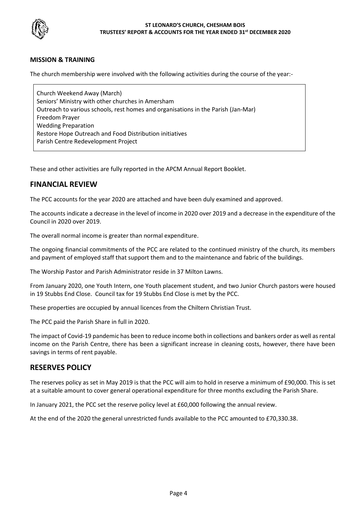

#### **MISSION & TRAINING**

The church membership were involved with the following activities during the course of the year:-

Church Weekend Away (March) Seniors' Ministry with other churches in Amersham Outreach to various schools, rest homes and organisations in the Parish (Jan-Mar) Freedom Prayer Wedding Preparation Restore Hope Outreach and Food Distribution initiatives Parish Centre Redevelopment Project

These and other activities are fully reported in the APCM Annual Report Booklet.

## **FINANCIAL REVIEW**

The PCC accounts for the year 2020 are attached and have been duly examined and approved.

The accounts indicate a decrease in the level of income in 2020 over 2019 and a decrease in the expenditure of the Council in 2020 over 2019.

The overall normal income is greater than normal expenditure.

The ongoing financial commitments of the PCC are related to the continued ministry of the church, its members and payment of employed staff that support them and to the maintenance and fabric of the buildings.

The Worship Pastor and Parish Administrator reside in 37 Milton Lawns.

From January 2020, one Youth Intern, one Youth placement student, and two Junior Church pastors were housed in 19 Stubbs End Close. Council tax for 19 Stubbs End Close is met by the PCC.

These properties are occupied by annual licences from the Chiltern Christian Trust.

The PCC paid the Parish Share in full in 2020.

The impact of Covid-19 pandemic has been to reduce income both in collections and bankers order as well as rental income on the Parish Centre, there has been a significant increase in cleaning costs, however, there have been savings in terms of rent payable.

## **RESERVES POLICY**

The reserves policy as set in May 2019 is that the PCC will aim to hold in reserve a minimum of £90,000. This is set at a suitable amount to cover general operational expenditure for three months excluding the Parish Share.

In January 2021, the PCC set the reserve policy level at £60,000 following the annual review.

At the end of the 2020 the general unrestricted funds available to the PCC amounted to £70,330.38.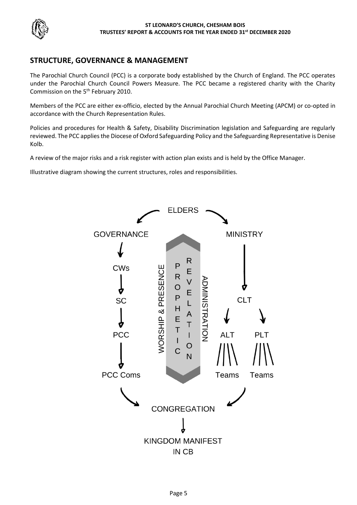

# **STRUCTURE, GOVERNANCE & MANAGEMENT**

The Parochial Church Council (PCC) is a corporate body established by the Church of England. The PCC operates under the Parochial Church Council Powers Measure. The PCC became a registered charity with the Charity Commission on the 5<sup>th</sup> February 2010.

Members of the PCC are either ex-officio, elected by the Annual Parochial Church Meeting (APCM) or co-opted in accordance with the Church Representation Rules.

Policies and procedures for Health & Safety, Disability Discrimination legislation and Safeguarding are regularly reviewed. The PCC applies the Diocese of Oxford Safeguarding Policy and the Safeguarding Representative is Denise Kolb.

A review of the major risks and a risk register with action plan exists and is held by the Office Manager.

Illustrative diagram showing the current structures, roles and responsibilities.

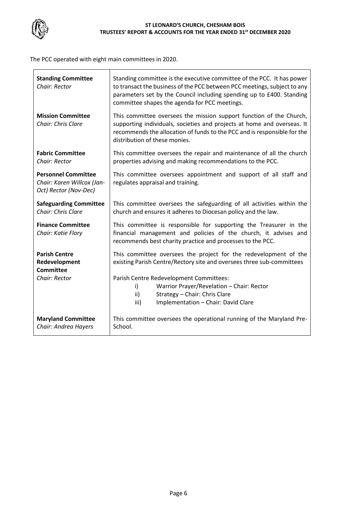

The PCC operated with eight main committees in 2020.

| <b>Standing Committee</b><br>Chair: Rector                                        | Standing committee is the executive committee of the PCC. It has power<br>to transact the business of the PCC between PCC meetings, subject to any<br>parameters set by the Council including spending up to £400. Standing<br>committee shapes the agenda for PCC meetings. |
|-----------------------------------------------------------------------------------|------------------------------------------------------------------------------------------------------------------------------------------------------------------------------------------------------------------------------------------------------------------------------|
| <b>Mission Committee</b><br><b>Chair: Chris Clare</b>                             | This committee oversees the mission support function of the Church,<br>supporting individuals, societies and projects at home and overseas. It<br>recommends the allocation of funds to the PCC and is responsible for the<br>distribution of these monies.                  |
| <b>Fabric Committee</b><br>Chair: Rector                                          | This committee oversees the repair and maintenance of all the church<br>properties advising and making recommendations to the PCC.                                                                                                                                           |
| <b>Personnel Committee</b><br>Chair: Karen Willcox (Jan-<br>Oct) Rector (Nov-Dec) | This committee oversees appointment and support of all staff and<br>regulates appraisal and training.                                                                                                                                                                        |
| <b>Safeguarding Committee</b><br><b>Chair: Chris Clare</b>                        | This committee oversees the safeguarding of all activities within the<br>church and ensures it adheres to Diocesan policy and the law.                                                                                                                                       |
| <b>Finance Committee</b><br>Chair: Katie Flory                                    | This committee is responsible for supporting the Treasurer in the<br>financial management and policies of the church, it advises and<br>recommends best charity practice and processes to the PCC.                                                                           |
| <b>Parish Centre</b><br>Redevelopment<br><b>Committee</b>                         | This committee oversees the project for the redevelopment of the<br>existing Parish Centre/Rectory site and oversees three sub-committees                                                                                                                                    |
| Chair: Rector                                                                     | Parish Centre Redevelopment Committees:<br>Warrior Prayer/Revelation - Chair: Rector<br>i)<br>Strategy - Chair: Chris Clare<br>ii)<br>Implementation - Chair: David Clare<br>iii)                                                                                            |
| <b>Maryland Committee</b><br>Chair: Andrea Hayers                                 | This committee oversees the operational running of the Maryland Pre-<br>School.                                                                                                                                                                                              |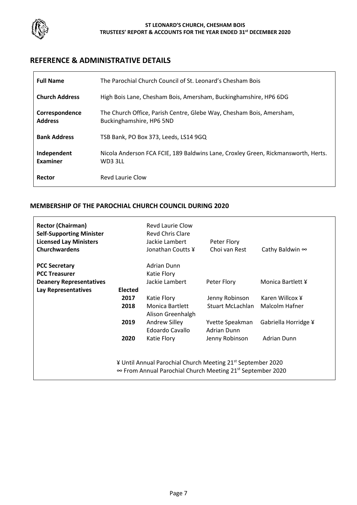

# **REFERENCE & ADMINISTRATIVE DETAILS**

| <b>Full Name</b>                 | The Parochial Church Council of St. Leonard's Chesham Bois                                       |
|----------------------------------|--------------------------------------------------------------------------------------------------|
| <b>Church Address</b>            | High Bois Lane, Chesham Bois, Amersham, Buckinghamshire, HP6 6DG                                 |
| Correspondence<br><b>Address</b> | The Church Office, Parish Centre, Glebe Way, Chesham Bois, Amersham,<br>Buckinghamshire, HP6 5ND |
| <b>Bank Address</b>              | TSB Bank, PO Box 373, Leeds, LS14 9GQ                                                            |
| Independent<br>Examiner          | Nicola Anderson FCA FCIE, 189 Baldwins Lane, Croxley Green, Rickmansworth, Herts.<br>WD3 3LL     |
| Rector                           | Revd Laurie Clow                                                                                 |

#### **MEMBERSHIP OF THE PAROCHIAL CHURCH COUNCIL DURING 2020**

| <b>Rector (Chairman)</b><br><b>Self-Supporting Minister</b><br><b>Licensed Lay Ministers</b><br><b>Churchwardens</b> |                | Revd Laurie Clow<br>Revd Chris Clare<br>Jackie Lambert<br>Jonathan Coutts ¥                                                                              | Peter Flory<br>Choi van Rest          | Cathy Baldwin $\infty$ |
|----------------------------------------------------------------------------------------------------------------------|----------------|----------------------------------------------------------------------------------------------------------------------------------------------------------|---------------------------------------|------------------------|
| <b>PCC Secretary</b>                                                                                                 |                | <b>Adrian Dunn</b>                                                                                                                                       |                                       |                        |
| <b>PCC Treasurer</b>                                                                                                 |                | Katie Flory                                                                                                                                              |                                       |                        |
| <b>Deanery Representatives</b>                                                                                       |                | Jackie Lambert                                                                                                                                           | Peter Flory                           | Monica Bartlett ¥      |
| Lay Representatives                                                                                                  | <b>Elected</b> |                                                                                                                                                          |                                       |                        |
|                                                                                                                      | 2017           | Katie Flory                                                                                                                                              | Jenny Robinson                        | Karen Willcox ¥        |
|                                                                                                                      | 2018           | <b>Monica Bartlett</b><br>Alison Greenhalgh                                                                                                              | Stuart McLachlan                      | Malcolm Hafner         |
|                                                                                                                      | 2019           | Andrew Silley<br>Edoardo Cavallo                                                                                                                         | Yvette Speakman<br><b>Adrian Dunn</b> | Gabriella Horridge ¥   |
|                                                                                                                      | 2020           | Katie Flory                                                                                                                                              | Jenny Robinson                        | Adrian Dunn            |
|                                                                                                                      |                | ¥ Until Annual Parochial Church Meeting 21 <sup>st</sup> September 2020<br>$\infty$ From Annual Parochial Church Meeting 21 <sup>st</sup> September 2020 |                                       |                        |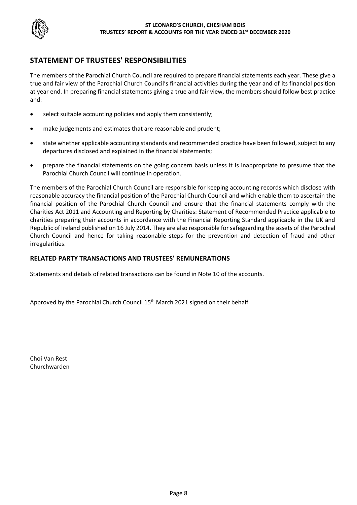

# **STATEMENT OF TRUSTEES' RESPONSIBILITIES**

The members of the Parochial Church Council are required to prepare financial statements each year. These give a true and fair view of the Parochial Church Council's financial activities during the year and of its financial position at year end. In preparing financial statements giving a true and fair view, the members should follow best practice and:

- select suitable accounting policies and apply them consistently;
- make judgements and estimates that are reasonable and prudent;
- state whether applicable accounting standards and recommended practice have been followed, subject to any departures disclosed and explained in the financial statements;
- prepare the financial statements on the going concern basis unless it is inappropriate to presume that the Parochial Church Council will continue in operation.

The members of the Parochial Church Council are responsible for keeping accounting records which disclose with reasonable accuracy the financial position of the Parochial Church Council and which enable them to ascertain the financial position of the Parochial Church Council and ensure that the financial statements comply with the Charities Act 2011 and Accounting and Reporting by Charities: Statement of Recommended Practice applicable to charities preparing their accounts in accordance with the Financial Reporting Standard applicable in the UK and Republic of Ireland published on 16 July 2014. They are also responsible for safeguarding the assets of the Parochial Church Council and hence for taking reasonable steps for the prevention and detection of fraud and other irregularities.

#### **RELATED PARTY TRANSACTIONS AND TRUSTEES' REMUNERATIONS**

Statements and details of related transactions can be found in Note 10 of the accounts.

Approved by the Parochial Church Council 15<sup>th</sup> March 2021 signed on their behalf.

Choi Van Rest Churchwarden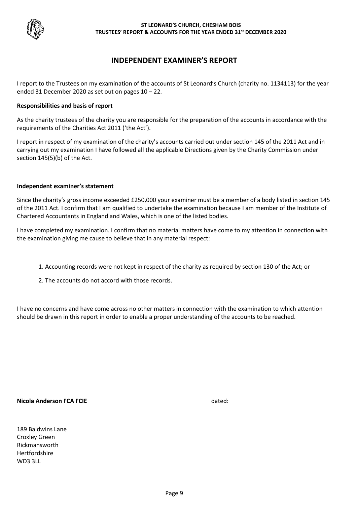

# **INDEPENDENT EXAMINER'S REPORT**

I report to the Trustees on my examination of the accounts of St Leonard's Church (charity no. 1134113) for the year ended 31 December 2020 as set out on pages 10 – 22.

#### **Responsibilities and basis of report**

As the charity trustees of the charity you are responsible for the preparation of the accounts in accordance with the requirements of the Charities Act 2011 ('the Act').

I report in respect of my examination of the charity's accounts carried out under section 145 of the 2011 Act and in carrying out my examination I have followed all the applicable Directions given by the Charity Commission under section 145(5)(b) of the Act.

#### **Independent examiner's statement**

Since the charity's gross income exceeded £250,000 your examiner must be a member of a body listed in section 145 of the 2011 Act. I confirm that I am qualified to undertake the examination because I am member of the Institute of Chartered Accountants in England and Wales, which is one of the listed bodies.

I have completed my examination. I confirm that no material matters have come to my attention in connection with the examination giving me cause to believe that in any material respect:

- 1. Accounting records were not kept in respect of the charity as required by section 130 of the Act; or
- 2. The accounts do not accord with those records.

I have no concerns and have come across no other matters in connection with the examination to which attention should be drawn in this report in order to enable a proper understanding of the accounts to be reached.

#### **Nicola Anderson FCA FCIE** dated: **Nicola Anderson FCA FCIE**

189 Baldwins Lane Croxley Green Rickmansworth Hertfordshire WD3 3LL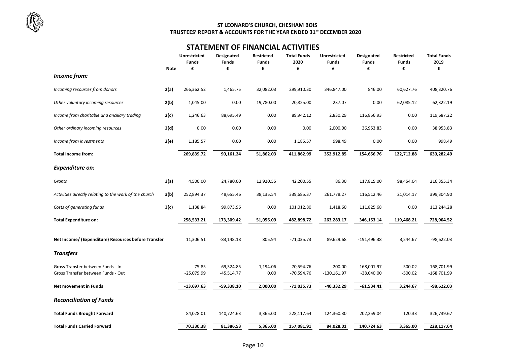# **STATEMENT OF FINANCIAL ACTIVITIES**

|                                                        |      | <b>Unrestricted</b><br><b>Funds</b> | Designated<br><b>Funds</b> | <b>Restricted</b><br><b>Funds</b> | <b>Total Funds</b><br>2020 | <b>Unrestricted</b><br>Funds | Designated<br><b>Funds</b> | <b>Restricted</b><br><b>Funds</b> | <b>Total Funds</b><br>2019 |
|--------------------------------------------------------|------|-------------------------------------|----------------------------|-----------------------------------|----------------------------|------------------------------|----------------------------|-----------------------------------|----------------------------|
| Income from:                                           | Note | £                                   | £                          | £                                 | £                          | £                            | £                          | £                                 | £                          |
|                                                        |      |                                     |                            |                                   |                            |                              |                            |                                   |                            |
| Incoming resources from donors                         | 2(a) | 266,362.52                          | 1,465.75                   | 32,082.03                         | 299,910.30                 | 346,847.00                   | 846.00                     | 60,627.76                         | 408,320.76                 |
| Other voluntary incoming resources                     | 2(b) | 1,045.00                            | 0.00                       | 19,780.00                         | 20,825.00                  | 237.07                       | 0.00                       | 62,085.12                         | 62,322.19                  |
| Income from charitable and ancillary trading           | 2(c) | 1,246.63                            | 88,695.49                  | 0.00                              | 89,942.12                  | 2,830.29                     | 116,856.93                 | 0.00                              | 119,687.22                 |
| Other ordinary incoming resources                      | 2(d) | 0.00                                | 0.00                       | 0.00                              | 0.00                       | 2,000.00                     | 36,953.83                  | 0.00                              | 38,953.83                  |
| Income from investments                                | 2(e) | 1,185.57                            | 0.00                       | 0.00                              | 1,185.57                   | 998.49                       | 0.00                       | 0.00                              | 998.49                     |
| <b>Total Income from:</b>                              |      | 269,839.72                          | 90,161.24                  | 51,862.03                         | 411,862.99                 | 352,912.85                   | 154,656.76                 | 122,712.88                        | 630,282.49                 |
| <b>Expenditure on:</b>                                 |      |                                     |                            |                                   |                            |                              |                            |                                   |                            |
| Grants                                                 | 3(a) | 4,500.00                            | 24,780.00                  | 12,920.55                         | 42,200.55                  | 86.30                        | 117,815.00                 | 98,454.04                         | 216,355.34                 |
| Activities directly relating to the work of the church | 3(b) | 252,894.37                          | 48,655.46                  | 38,135.54                         | 339,685.37                 | 261,778.27                   | 116,512.46                 | 21,014.17                         | 399,304.90                 |
| Costs of generating funds                              | 3(c) | 1,138.84                            | 99,873.96                  | 0.00                              | 101,012.80                 | 1,418.60                     | 111,825.68                 | 0.00                              | 113,244.28                 |
| <b>Total Expenditure on:</b>                           |      | 258,533.21                          | 173,309.42                 | 51,056.09                         | 482,898.72                 | 263,283.17                   | 346,153.14                 | 119,468.21                        | 728,904.52                 |
| Net Income/ (Expenditure) Resources before Transfer    |      | 11,306.51                           | $-83,148.18$               | 805.94                            | $-71,035.73$               | 89,629.68                    | $-191,496.38$              | 3,244.67                          | $-98,622.03$               |
| <b>Transfers</b>                                       |      |                                     |                            |                                   |                            |                              |                            |                                   |                            |
| Gross Transfer between Funds - In                      |      | 75.85                               | 69,324.85                  | 1,194.06                          | 70,594.76                  | 200.00                       | 168,001.97                 | 500.02                            | 168,701.99                 |
| Gross Transfer between Funds - Out                     |      | $-25,079.99$                        | $-45,514.77$               | 0.00                              | $-70,594.76$               | $-130,161.97$                | $-38,040.00$               | $-500.02$                         | $-168,701.99$              |
| Net movement in Funds                                  |      | $-13,697.63$                        | -59,338.10                 | 2,000.00                          | $-71,035.73$               | $-40,332.29$                 | $-61,534.41$               | 3,244.67                          | -98,622.03                 |
| <b>Reconciliation of Funds</b>                         |      |                                     |                            |                                   |                            |                              |                            |                                   |                            |
| <b>Total Funds Brought Forward</b>                     |      | 84,028.01                           | 140,724.63                 | 3,365.00                          | 228,117.64                 | 124,360.30                   | 202,259.04                 | 120.33                            | 326,739.67                 |
| <b>Total Funds Carried Forward</b>                     |      | 70,330.38                           | 81,386.53                  | 5,365.00                          | 157,081.91                 | 84,028.01                    | 140,724.63                 | 3,365.00                          | 228,117.64                 |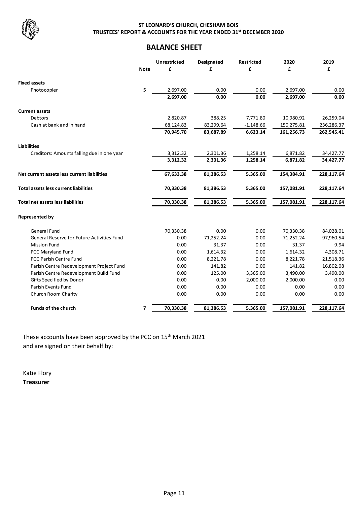

# **BALANCE SHEET**

|                                              |             | <b>Unrestricted</b> | <b>Designated</b> | <b>Restricted</b> | 2020       | 2019       |
|----------------------------------------------|-------------|---------------------|-------------------|-------------------|------------|------------|
|                                              | <b>Note</b> | £                   | £                 | £                 | £          | £          |
| <b>Fixed assets</b>                          |             |                     |                   |                   |            |            |
| Photocopier                                  | 5           | 2,697.00            | 0.00              | 0.00              | 2,697.00   | 0.00       |
|                                              |             | 2,697.00            | 0.00              | 0.00              | 2,697.00   | 0.00       |
| <b>Current assets</b>                        |             |                     |                   |                   |            |            |
| <b>Debtors</b>                               |             | 2,820.87            | 388.25            | 7,771.80          | 10,980.92  | 26,259.04  |
| Cash at bank and in hand                     |             | 68,124.83           | 83,299.64         | $-1,148.66$       | 150,275.81 | 236,286.37 |
|                                              |             | 70,945.70           | 83,687.89         | 6,623.14          | 161,256.73 | 262,545.41 |
| <b>Liabilities</b>                           |             |                     |                   |                   |            |            |
| Creditors: Amounts falling due in one year   |             | 3,312.32            | 2,301.36          | 1,258.14          | 6,871.82   | 34,427.77  |
|                                              |             | 3,312.32            | 2,301.36          | 1,258.14          | 6,871.82   | 34,427.77  |
| Net current assets less current liabilities  |             | 67,633.38           | 81,386.53         | 5,365.00          | 154,384.91 | 228,117.64 |
| <b>Total assets less current liabilities</b> |             | 70,330.38           | 81,386.53         | 5,365.00          | 157,081.91 | 228,117.64 |
| <b>Total net assets less liabilities</b>     |             | 70,330.38           | 81,386.53         | 5,365.00          | 157,081.91 | 228,117.64 |
| <b>Represented by</b>                        |             |                     |                   |                   |            |            |
| General Fund                                 |             | 70,330.38           | 0.00              | 0.00              | 70,330.38  | 84,028.01  |
| General Reserve for Future Activities Fund   |             | 0.00                | 71,252.24         | 0.00              | 71,252.24  | 97,960.54  |
| <b>Mission Fund</b>                          |             | 0.00                | 31.37             | 0.00              | 31.37      | 9.94       |
| PCC Maryland Fund                            |             | 0.00                | 1,614.32          | 0.00              | 1,614.32   | 4,308.71   |
| PCC Parish Centre Fund                       |             | 0.00                | 8,221.78          | 0.00              | 8,221.78   | 21,518.36  |
| Parish Centre Redevelopment Project Fund     |             | 0.00                | 141.82            | 0.00              | 141.82     | 16,802.08  |
| Parish Centre Redevelopment Build Fund       |             | 0.00                | 125.00            | 3,365.00          | 3,490.00   | 3,490.00   |
| Gifts Specified by Donor                     |             | 0.00                | 0.00              | 2,000.00          | 2,000.00   | 0.00       |
| Parish Events Fund                           |             | 0.00                | 0.00              | 0.00              | 0.00       | 0.00       |
| Church Room Charity                          |             | 0.00                | 0.00              | 0.00              | 0.00       | 0.00       |
| <b>Funds of the church</b>                   | 7           | 70,330.38           | 81,386.53         | 5,365.00          | 157,081.91 | 228,117.64 |

These accounts have been approved by the PCC on 15th March 2021 and are signed on their behalf by:

Katie Flory **Treasurer**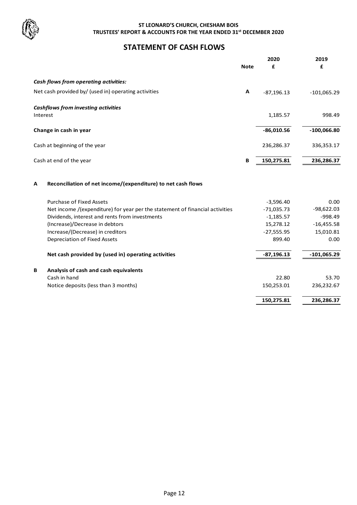

# **STATEMENT OF CASH FLOWS**

|                                                                              | <b>Note</b> | 2020<br>£    | 2019<br>£     |
|------------------------------------------------------------------------------|-------------|--------------|---------------|
| Cash flows from operating activities:                                        |             |              |               |
| Net cash provided by/ (used in) operating activities                         | A           | $-87,196.13$ | $-101,065.29$ |
| Cashflows from investing activities<br>Interest                              |             | 1,185.57     | 998.49        |
| Change in cash in year                                                       |             | $-86,010.56$ | $-100,066.80$ |
| Cash at beginning of the year                                                |             | 236,286.37   | 336,353.17    |
| Cash at end of the year                                                      | B           | 150,275.81   | 236,286.37    |
| Reconciliation of net income/(expenditure) to net cash flows<br>Α            |             |              |               |
| <b>Purchase of Fixed Assets</b>                                              |             | $-3,596.40$  | 0.00          |
| Net income /(expenditure) for year per the statement of financial activities |             | $-71,035.73$ | $-98,622.03$  |
| Dividends, interest and rents from investments                               |             | $-1,185.57$  | $-998.49$     |
| (Increase)/Decrease in debtors                                               |             | 15,278.12    | $-16,455.58$  |
| Increase/(Decrease) in creditors                                             |             | $-27,555.95$ | 15,010.81     |
| Depreciation of Fixed Assets                                                 |             | 899.40       | 0.00          |
| Net cash provided by (used in) operating activities                          |             | $-87,196.13$ | $-101,065.29$ |
| Analysis of cash and cash equivalents<br>В                                   |             |              |               |
| Cash in hand                                                                 |             | 22.80        | 53.70         |
| Notice deposits (less than 3 months)                                         |             | 150,253.01   | 236,232.67    |
|                                                                              |             | 150,275.81   | 236,286.37    |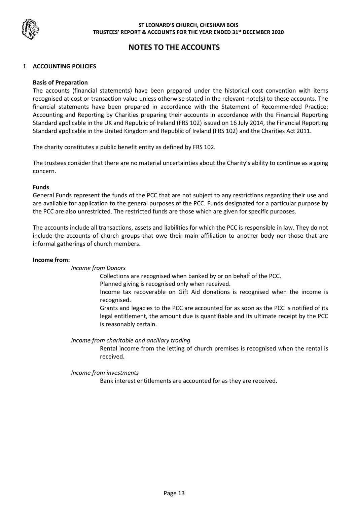

# **NOTES TO THE ACCOUNTS**

#### **1 ACCOUNTING POLICIES**

#### **Basis of Preparation**

The accounts (financial statements) have been prepared under the historical cost convention with items recognised at cost or transaction value unless otherwise stated in the relevant note(s) to these accounts. The financial statements have been prepared in accordance with the Statement of Recommended Practice: Accounting and Reporting by Charities preparing their accounts in accordance with the Financial Reporting Standard applicable in the UK and Republic of Ireland (FRS 102) issued on 16 July 2014, the Financial Reporting Standard applicable in the United Kingdom and Republic of Ireland (FRS 102) and the Charities Act 2011.

The charity constitutes a public benefit entity as defined by FRS 102.

The trustees consider that there are no material uncertainties about the Charity's ability to continue as a going concern.

#### **Funds**

General Funds represent the funds of the PCC that are not subject to any restrictions regarding their use and are available for application to the general purposes of the PCC. Funds designated for a particular purpose by the PCC are also unrestricted. The restricted funds are those which are given for specific purposes.

The accounts include all transactions, assets and liabilities for which the PCC is responsible in law. They do not include the accounts of church groups that owe their main affiliation to another body nor those that are informal gatherings of church members.

#### **Income from:**

*Income from Donors*

Collections are recognised when banked by or on behalf of the PCC.

Planned giving is recognised only when received.

Income tax recoverable on Gift Aid donations is recognised when the income is recognised.

Grants and legacies to the PCC are accounted for as soon as the PCC is notified of its legal entitlement, the amount due is quantifiable and its ultimate receipt by the PCC is reasonably certain.

*Income from charitable and ancillary trading*

Rental income from the letting of church premises is recognised when the rental is received.

*Income from investments*

Bank interest entitlements are accounted for as they are received.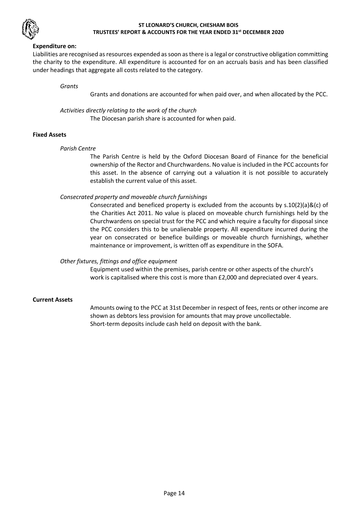

#### **Expenditure on:**

Liabilities are recognised as resources expended as soon as there is a legal or constructive obligation committing the charity to the expenditure. All expenditure is accounted for on an accruals basis and has been classified under headings that aggregate all costs related to the category.

#### *Grants*

Grants and donations are accounted for when paid over, and when allocated by the PCC.

*Activities directly relating to the work of the church* The Diocesan parish share is accounted for when paid.

#### **Fixed Assets**

#### *Parish Centre*

The Parish Centre is held by the Oxford Diocesan Board of Finance for the beneficial ownership of the Rector and Churchwardens. No value is included in the PCC accounts for this asset. In the absence of carrying out a valuation it is not possible to accurately establish the current value of this asset.

#### *Consecrated property and moveable church furnishings*

Consecrated and beneficed property is excluded from the accounts by  $s.10(2)(a)\&(c)$  of the Charities Act 2011. No value is placed on moveable church furnishings held by the Churchwardens on special trust for the PCC and which require a faculty for disposal since the PCC considers this to be unalienable property. All expenditure incurred during the year on consecrated or benefice buildings or moveable church furnishings, whether maintenance or improvement, is written off as expenditure in the SOFA.

#### *Other fixtures, fittings and office equipment*

Equipment used within the premises, parish centre or other aspects of the church's work is capitalised where this cost is more than £2,000 and depreciated over 4 years.

#### **Current Assets**

Amounts owing to the PCC at 31st December in respect of fees, rents or other income are shown as debtors less provision for amounts that may prove uncollectable. Short-term deposits include cash held on deposit with the bank.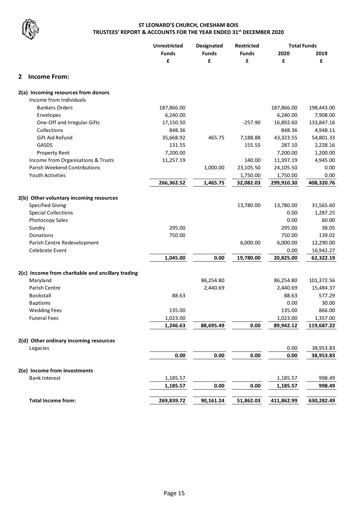

| <b>Funds</b><br><b>Funds</b><br>2020<br><b>Funds</b><br>2019<br>£<br>£<br>£<br>£<br>£<br><b>Income From:</b><br>2<br>2(a) Incoming resources from donors<br>Income from Individuals<br><b>Bankers Orders</b><br>187,866.00<br>187,866.00<br>198,443.00<br>7,908.00<br>Envelopes<br>6,240.00<br>6,240.00<br>One-Off and Irregular Gifts<br>133,847.16<br>17,150.50<br>$-257.90$<br>16,892.60<br>Collections<br>848.36<br>848.36<br>4,948.11<br>Gift Aid Refund<br>465.75<br>54,801.33<br>35,668.92<br>7,188.88<br>43,323.55<br><b>GASDS</b><br>131.55<br>155.55<br>287.10<br>2,228.16<br>1,200.00<br><b>Property Rent</b><br>7,200.00<br>7,200.00<br>Income from Organisations & Trusts<br>11,257.19<br>4,945.00<br>140.00<br>11,397.19<br>Parish Weekend Contributions<br>1,000.00<br>23,105.50<br>24,105.50<br>0.00<br>Youth Activities<br>1,750.00<br>1,750.00<br>0.00<br>408,320.76<br>266,362.52<br>1,465.75<br>32,082.03<br>299,910.30<br>2(b) Other voluntary incoming resources<br><b>Specified Giving</b><br>31,565.60<br>13,780.00<br>13,780.00<br><b>Special Collections</b><br>0.00<br>1,287.25<br>60.00<br>Photocopy Sales<br>0.00<br>38.05<br>Sundry<br>295.00<br>295.00<br>Donations<br>750.00<br>750.00<br>139.02<br>6,000.00<br>6,000.00<br>Parish Centre Redevelopment<br>12,290.00<br>Celebrate Event<br>0.00<br>16,942.27<br>1,045.00<br>0.00<br>19,780.00<br>20,825.00<br>62,322.19<br>2(c) Income from charitable and ancillary trading<br>Maryland<br>86,254.80<br>86,254.80<br>101,372.56<br>Parish Centre<br>2,440.69<br>2,440.69<br>577.29<br>Bookstall<br>88.63<br>88.63<br>30.00<br><b>Baptisms</b><br>0.00<br>135.00<br>135.00<br>866.00<br><b>Wedding Fees</b><br><b>Funeral Fees</b><br>1,023.00<br>1,357.00<br>1,023.00<br>89,942.12<br>1,246.63<br>0.00<br>119,687.22<br>88,695.49<br>2(d) Other ordinary incoming resources<br>0.00<br>Legacies<br>0.00<br>0.00<br>0.00<br>0.00<br>38,953.83<br>2(e) Income from investments<br><b>Bank Interest</b><br>1,185.57<br>1,185.57<br>998.49<br>0.00<br>0.00<br>998.49<br>1,185.57<br>1,185.57<br><b>Total Income from:</b><br>51,862.03<br>269,839.72<br>90,161.24<br>411,862.99<br>630,282.49 | <b>Unrestricted</b> | Designated | <b>Restricted</b> | <b>Total Funds</b> |           |  |
|----------------------------------------------------------------------------------------------------------------------------------------------------------------------------------------------------------------------------------------------------------------------------------------------------------------------------------------------------------------------------------------------------------------------------------------------------------------------------------------------------------------------------------------------------------------------------------------------------------------------------------------------------------------------------------------------------------------------------------------------------------------------------------------------------------------------------------------------------------------------------------------------------------------------------------------------------------------------------------------------------------------------------------------------------------------------------------------------------------------------------------------------------------------------------------------------------------------------------------------------------------------------------------------------------------------------------------------------------------------------------------------------------------------------------------------------------------------------------------------------------------------------------------------------------------------------------------------------------------------------------------------------------------------------------------------------------------------------------------------------------------------------------------------------------------------------------------------------------------------------------------------------------------------------------------------------------------------------------------------------------------------------------------------------------------------------------------------------------------------------------------------------------------------------------|---------------------|------------|-------------------|--------------------|-----------|--|
|                                                                                                                                                                                                                                                                                                                                                                                                                                                                                                                                                                                                                                                                                                                                                                                                                                                                                                                                                                                                                                                                                                                                                                                                                                                                                                                                                                                                                                                                                                                                                                                                                                                                                                                                                                                                                                                                                                                                                                                                                                                                                                                                                                            |                     |            |                   |                    |           |  |
|                                                                                                                                                                                                                                                                                                                                                                                                                                                                                                                                                                                                                                                                                                                                                                                                                                                                                                                                                                                                                                                                                                                                                                                                                                                                                                                                                                                                                                                                                                                                                                                                                                                                                                                                                                                                                                                                                                                                                                                                                                                                                                                                                                            |                     |            |                   |                    |           |  |
|                                                                                                                                                                                                                                                                                                                                                                                                                                                                                                                                                                                                                                                                                                                                                                                                                                                                                                                                                                                                                                                                                                                                                                                                                                                                                                                                                                                                                                                                                                                                                                                                                                                                                                                                                                                                                                                                                                                                                                                                                                                                                                                                                                            |                     |            |                   |                    |           |  |
|                                                                                                                                                                                                                                                                                                                                                                                                                                                                                                                                                                                                                                                                                                                                                                                                                                                                                                                                                                                                                                                                                                                                                                                                                                                                                                                                                                                                                                                                                                                                                                                                                                                                                                                                                                                                                                                                                                                                                                                                                                                                                                                                                                            |                     |            |                   |                    |           |  |
|                                                                                                                                                                                                                                                                                                                                                                                                                                                                                                                                                                                                                                                                                                                                                                                                                                                                                                                                                                                                                                                                                                                                                                                                                                                                                                                                                                                                                                                                                                                                                                                                                                                                                                                                                                                                                                                                                                                                                                                                                                                                                                                                                                            |                     |            |                   |                    |           |  |
|                                                                                                                                                                                                                                                                                                                                                                                                                                                                                                                                                                                                                                                                                                                                                                                                                                                                                                                                                                                                                                                                                                                                                                                                                                                                                                                                                                                                                                                                                                                                                                                                                                                                                                                                                                                                                                                                                                                                                                                                                                                                                                                                                                            |                     |            |                   |                    |           |  |
|                                                                                                                                                                                                                                                                                                                                                                                                                                                                                                                                                                                                                                                                                                                                                                                                                                                                                                                                                                                                                                                                                                                                                                                                                                                                                                                                                                                                                                                                                                                                                                                                                                                                                                                                                                                                                                                                                                                                                                                                                                                                                                                                                                            |                     |            |                   |                    |           |  |
|                                                                                                                                                                                                                                                                                                                                                                                                                                                                                                                                                                                                                                                                                                                                                                                                                                                                                                                                                                                                                                                                                                                                                                                                                                                                                                                                                                                                                                                                                                                                                                                                                                                                                                                                                                                                                                                                                                                                                                                                                                                                                                                                                                            |                     |            |                   |                    |           |  |
|                                                                                                                                                                                                                                                                                                                                                                                                                                                                                                                                                                                                                                                                                                                                                                                                                                                                                                                                                                                                                                                                                                                                                                                                                                                                                                                                                                                                                                                                                                                                                                                                                                                                                                                                                                                                                                                                                                                                                                                                                                                                                                                                                                            |                     |            |                   |                    |           |  |
|                                                                                                                                                                                                                                                                                                                                                                                                                                                                                                                                                                                                                                                                                                                                                                                                                                                                                                                                                                                                                                                                                                                                                                                                                                                                                                                                                                                                                                                                                                                                                                                                                                                                                                                                                                                                                                                                                                                                                                                                                                                                                                                                                                            |                     |            |                   |                    |           |  |
|                                                                                                                                                                                                                                                                                                                                                                                                                                                                                                                                                                                                                                                                                                                                                                                                                                                                                                                                                                                                                                                                                                                                                                                                                                                                                                                                                                                                                                                                                                                                                                                                                                                                                                                                                                                                                                                                                                                                                                                                                                                                                                                                                                            |                     |            |                   |                    |           |  |
|                                                                                                                                                                                                                                                                                                                                                                                                                                                                                                                                                                                                                                                                                                                                                                                                                                                                                                                                                                                                                                                                                                                                                                                                                                                                                                                                                                                                                                                                                                                                                                                                                                                                                                                                                                                                                                                                                                                                                                                                                                                                                                                                                                            |                     |            |                   |                    |           |  |
|                                                                                                                                                                                                                                                                                                                                                                                                                                                                                                                                                                                                                                                                                                                                                                                                                                                                                                                                                                                                                                                                                                                                                                                                                                                                                                                                                                                                                                                                                                                                                                                                                                                                                                                                                                                                                                                                                                                                                                                                                                                                                                                                                                            |                     |            |                   |                    |           |  |
|                                                                                                                                                                                                                                                                                                                                                                                                                                                                                                                                                                                                                                                                                                                                                                                                                                                                                                                                                                                                                                                                                                                                                                                                                                                                                                                                                                                                                                                                                                                                                                                                                                                                                                                                                                                                                                                                                                                                                                                                                                                                                                                                                                            |                     |            |                   |                    |           |  |
|                                                                                                                                                                                                                                                                                                                                                                                                                                                                                                                                                                                                                                                                                                                                                                                                                                                                                                                                                                                                                                                                                                                                                                                                                                                                                                                                                                                                                                                                                                                                                                                                                                                                                                                                                                                                                                                                                                                                                                                                                                                                                                                                                                            |                     |            |                   |                    |           |  |
|                                                                                                                                                                                                                                                                                                                                                                                                                                                                                                                                                                                                                                                                                                                                                                                                                                                                                                                                                                                                                                                                                                                                                                                                                                                                                                                                                                                                                                                                                                                                                                                                                                                                                                                                                                                                                                                                                                                                                                                                                                                                                                                                                                            |                     |            |                   |                    |           |  |
|                                                                                                                                                                                                                                                                                                                                                                                                                                                                                                                                                                                                                                                                                                                                                                                                                                                                                                                                                                                                                                                                                                                                                                                                                                                                                                                                                                                                                                                                                                                                                                                                                                                                                                                                                                                                                                                                                                                                                                                                                                                                                                                                                                            |                     |            |                   |                    |           |  |
|                                                                                                                                                                                                                                                                                                                                                                                                                                                                                                                                                                                                                                                                                                                                                                                                                                                                                                                                                                                                                                                                                                                                                                                                                                                                                                                                                                                                                                                                                                                                                                                                                                                                                                                                                                                                                                                                                                                                                                                                                                                                                                                                                                            |                     |            |                   |                    |           |  |
|                                                                                                                                                                                                                                                                                                                                                                                                                                                                                                                                                                                                                                                                                                                                                                                                                                                                                                                                                                                                                                                                                                                                                                                                                                                                                                                                                                                                                                                                                                                                                                                                                                                                                                                                                                                                                                                                                                                                                                                                                                                                                                                                                                            |                     |            |                   |                    |           |  |
|                                                                                                                                                                                                                                                                                                                                                                                                                                                                                                                                                                                                                                                                                                                                                                                                                                                                                                                                                                                                                                                                                                                                                                                                                                                                                                                                                                                                                                                                                                                                                                                                                                                                                                                                                                                                                                                                                                                                                                                                                                                                                                                                                                            |                     |            |                   |                    |           |  |
|                                                                                                                                                                                                                                                                                                                                                                                                                                                                                                                                                                                                                                                                                                                                                                                                                                                                                                                                                                                                                                                                                                                                                                                                                                                                                                                                                                                                                                                                                                                                                                                                                                                                                                                                                                                                                                                                                                                                                                                                                                                                                                                                                                            |                     |            |                   |                    |           |  |
|                                                                                                                                                                                                                                                                                                                                                                                                                                                                                                                                                                                                                                                                                                                                                                                                                                                                                                                                                                                                                                                                                                                                                                                                                                                                                                                                                                                                                                                                                                                                                                                                                                                                                                                                                                                                                                                                                                                                                                                                                                                                                                                                                                            |                     |            |                   |                    |           |  |
|                                                                                                                                                                                                                                                                                                                                                                                                                                                                                                                                                                                                                                                                                                                                                                                                                                                                                                                                                                                                                                                                                                                                                                                                                                                                                                                                                                                                                                                                                                                                                                                                                                                                                                                                                                                                                                                                                                                                                                                                                                                                                                                                                                            |                     |            |                   |                    |           |  |
|                                                                                                                                                                                                                                                                                                                                                                                                                                                                                                                                                                                                                                                                                                                                                                                                                                                                                                                                                                                                                                                                                                                                                                                                                                                                                                                                                                                                                                                                                                                                                                                                                                                                                                                                                                                                                                                                                                                                                                                                                                                                                                                                                                            |                     |            |                   |                    |           |  |
|                                                                                                                                                                                                                                                                                                                                                                                                                                                                                                                                                                                                                                                                                                                                                                                                                                                                                                                                                                                                                                                                                                                                                                                                                                                                                                                                                                                                                                                                                                                                                                                                                                                                                                                                                                                                                                                                                                                                                                                                                                                                                                                                                                            |                     |            |                   |                    |           |  |
|                                                                                                                                                                                                                                                                                                                                                                                                                                                                                                                                                                                                                                                                                                                                                                                                                                                                                                                                                                                                                                                                                                                                                                                                                                                                                                                                                                                                                                                                                                                                                                                                                                                                                                                                                                                                                                                                                                                                                                                                                                                                                                                                                                            |                     |            |                   |                    |           |  |
|                                                                                                                                                                                                                                                                                                                                                                                                                                                                                                                                                                                                                                                                                                                                                                                                                                                                                                                                                                                                                                                                                                                                                                                                                                                                                                                                                                                                                                                                                                                                                                                                                                                                                                                                                                                                                                                                                                                                                                                                                                                                                                                                                                            |                     |            |                   |                    |           |  |
|                                                                                                                                                                                                                                                                                                                                                                                                                                                                                                                                                                                                                                                                                                                                                                                                                                                                                                                                                                                                                                                                                                                                                                                                                                                                                                                                                                                                                                                                                                                                                                                                                                                                                                                                                                                                                                                                                                                                                                                                                                                                                                                                                                            |                     |            |                   |                    | 15,484.37 |  |
|                                                                                                                                                                                                                                                                                                                                                                                                                                                                                                                                                                                                                                                                                                                                                                                                                                                                                                                                                                                                                                                                                                                                                                                                                                                                                                                                                                                                                                                                                                                                                                                                                                                                                                                                                                                                                                                                                                                                                                                                                                                                                                                                                                            |                     |            |                   |                    |           |  |
|                                                                                                                                                                                                                                                                                                                                                                                                                                                                                                                                                                                                                                                                                                                                                                                                                                                                                                                                                                                                                                                                                                                                                                                                                                                                                                                                                                                                                                                                                                                                                                                                                                                                                                                                                                                                                                                                                                                                                                                                                                                                                                                                                                            |                     |            |                   |                    |           |  |
|                                                                                                                                                                                                                                                                                                                                                                                                                                                                                                                                                                                                                                                                                                                                                                                                                                                                                                                                                                                                                                                                                                                                                                                                                                                                                                                                                                                                                                                                                                                                                                                                                                                                                                                                                                                                                                                                                                                                                                                                                                                                                                                                                                            |                     |            |                   |                    |           |  |
|                                                                                                                                                                                                                                                                                                                                                                                                                                                                                                                                                                                                                                                                                                                                                                                                                                                                                                                                                                                                                                                                                                                                                                                                                                                                                                                                                                                                                                                                                                                                                                                                                                                                                                                                                                                                                                                                                                                                                                                                                                                                                                                                                                            |                     |            |                   |                    |           |  |
|                                                                                                                                                                                                                                                                                                                                                                                                                                                                                                                                                                                                                                                                                                                                                                                                                                                                                                                                                                                                                                                                                                                                                                                                                                                                                                                                                                                                                                                                                                                                                                                                                                                                                                                                                                                                                                                                                                                                                                                                                                                                                                                                                                            |                     |            |                   |                    |           |  |
|                                                                                                                                                                                                                                                                                                                                                                                                                                                                                                                                                                                                                                                                                                                                                                                                                                                                                                                                                                                                                                                                                                                                                                                                                                                                                                                                                                                                                                                                                                                                                                                                                                                                                                                                                                                                                                                                                                                                                                                                                                                                                                                                                                            |                     |            |                   |                    |           |  |
|                                                                                                                                                                                                                                                                                                                                                                                                                                                                                                                                                                                                                                                                                                                                                                                                                                                                                                                                                                                                                                                                                                                                                                                                                                                                                                                                                                                                                                                                                                                                                                                                                                                                                                                                                                                                                                                                                                                                                                                                                                                                                                                                                                            |                     |            |                   |                    | 38,953.83 |  |
|                                                                                                                                                                                                                                                                                                                                                                                                                                                                                                                                                                                                                                                                                                                                                                                                                                                                                                                                                                                                                                                                                                                                                                                                                                                                                                                                                                                                                                                                                                                                                                                                                                                                                                                                                                                                                                                                                                                                                                                                                                                                                                                                                                            |                     |            |                   |                    |           |  |
|                                                                                                                                                                                                                                                                                                                                                                                                                                                                                                                                                                                                                                                                                                                                                                                                                                                                                                                                                                                                                                                                                                                                                                                                                                                                                                                                                                                                                                                                                                                                                                                                                                                                                                                                                                                                                                                                                                                                                                                                                                                                                                                                                                            |                     |            |                   |                    |           |  |
|                                                                                                                                                                                                                                                                                                                                                                                                                                                                                                                                                                                                                                                                                                                                                                                                                                                                                                                                                                                                                                                                                                                                                                                                                                                                                                                                                                                                                                                                                                                                                                                                                                                                                                                                                                                                                                                                                                                                                                                                                                                                                                                                                                            |                     |            |                   |                    |           |  |
|                                                                                                                                                                                                                                                                                                                                                                                                                                                                                                                                                                                                                                                                                                                                                                                                                                                                                                                                                                                                                                                                                                                                                                                                                                                                                                                                                                                                                                                                                                                                                                                                                                                                                                                                                                                                                                                                                                                                                                                                                                                                                                                                                                            |                     |            |                   |                    |           |  |
|                                                                                                                                                                                                                                                                                                                                                                                                                                                                                                                                                                                                                                                                                                                                                                                                                                                                                                                                                                                                                                                                                                                                                                                                                                                                                                                                                                                                                                                                                                                                                                                                                                                                                                                                                                                                                                                                                                                                                                                                                                                                                                                                                                            |                     |            |                   |                    |           |  |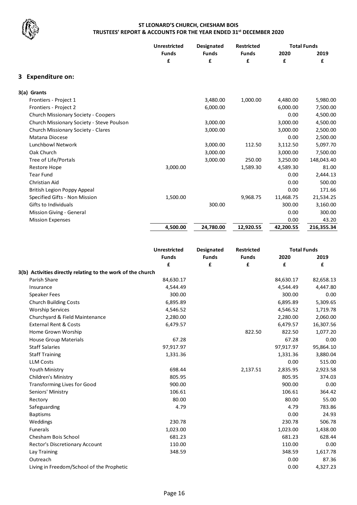

|                                           | <b>Unrestricted</b> | <b>Designated</b><br><b>Restricted</b> |              | <b>Total Funds</b> |            |
|-------------------------------------------|---------------------|----------------------------------------|--------------|--------------------|------------|
|                                           | <b>Funds</b>        | <b>Funds</b>                           | <b>Funds</b> | 2020               | 2019       |
|                                           | £                   | £                                      | £            | £                  | £          |
| 3 Expenditure on:                         |                     |                                        |              |                    |            |
| 3(a) Grants                               |                     |                                        |              |                    |            |
| Frontiers - Project 1                     |                     | 3,480.00                               | 1,000.00     | 4,480.00           | 5,980.00   |
| Frontiers - Project 2                     |                     | 6,000.00                               |              | 6,000.00           | 7,500.00   |
| Church Missionary Society - Coopers       |                     |                                        |              | 0.00               | 4,500.00   |
| Church Missionary Society - Steve Poulson |                     | 3,000.00                               |              | 3,000.00           | 4,500.00   |
| Church Missionary Society - Clares        |                     | 3,000.00                               |              | 3,000.00           | 2,500.00   |
| Matana Diocese                            |                     |                                        |              | 0.00               | 2,500.00   |
| Lunchbowl Network                         |                     | 3,000.00                               | 112.50       | 3,112.50           | 5,097.70   |
| Oak Church                                |                     | 3,000.00                               |              | 3,000.00           | 7,500.00   |
| Tree of Life/Portals                      |                     | 3,000.00                               | 250.00       | 3,250.00           | 148,043.40 |
| <b>Restore Hope</b>                       | 3,000.00            |                                        | 1,589.30     | 4,589.30           | 81.00      |
| <b>Tear Fund</b>                          |                     |                                        |              | 0.00               | 2,444.13   |
| Christian Aid                             |                     |                                        |              | 0.00               | 500.00     |
| British Legion Poppy Appeal               |                     |                                        |              | 0.00               | 171.66     |
| Specified Gifts - Non Mission             | 1,500.00            |                                        | 9,968.75     | 11,468.75          | 21,534.25  |
| Gifts to Individuals                      |                     | 300.00                                 |              | 300.00             | 3,160.00   |
| Mission Giving - General                  |                     |                                        |              | 0.00               | 300.00     |
| <b>Mission Expenses</b>                   |                     |                                        |              | 0.00               | 43.20      |
|                                           | 4,500.00            | 24,780.00                              | 12,920.55    | 42,200.55          | 216,355.34 |

|                                                             | <b>Unrestricted</b> | Designated   | <b>Restricted</b><br><b>Funds</b> | <b>Total Funds</b> |           |
|-------------------------------------------------------------|---------------------|--------------|-----------------------------------|--------------------|-----------|
|                                                             | <b>Funds</b>        | <b>Funds</b> |                                   | 2020               | 2019      |
|                                                             | £                   | £            | £                                 | £                  | £         |
| 3(b) Activities directly relating to the work of the church |                     |              |                                   |                    |           |
| Parish Share                                                | 84,630.17           |              |                                   | 84,630.17          | 82,658.13 |
| Insurance                                                   | 4,544.49            |              |                                   | 4,544.49           | 4,447.80  |
| Speaker Fees                                                | 300.00              |              |                                   | 300.00             | 0.00      |
| <b>Church Building Costs</b>                                | 6,895.89            |              |                                   | 6,895.89           | 5,309.65  |
| <b>Worship Services</b>                                     | 4,546.52            |              |                                   | 4,546.52           | 1,719.78  |
| Churchyard & Field Maintenance                              | 2,280.00            |              |                                   | 2,280.00           | 2,060.00  |
| <b>External Rent &amp; Costs</b>                            | 6,479.57            |              |                                   | 6,479.57           | 16,307.56 |
| Home Grown Worship                                          |                     |              | 822.50                            | 822.50             | 1,077.20  |
| <b>House Group Materials</b>                                | 67.28               |              |                                   | 67.28              | 0.00      |
| <b>Staff Salaries</b>                                       | 97,917.97           |              |                                   | 97,917.97          | 95,864.10 |
| <b>Staff Training</b>                                       | 1,331.36            |              |                                   | 1,331.36           | 3,880.04  |
| <b>LLM Costs</b>                                            |                     |              |                                   | 0.00               | 515.00    |
| Youth Ministry                                              | 698.44              |              | 2,137.51                          | 2,835.95           | 2,923.58  |
| Children's Ministry                                         | 805.95              |              |                                   | 805.95             | 374.03    |
| <b>Transforming Lives for Good</b>                          | 900.00              |              |                                   | 900.00             | 0.00      |
| Seniors' Ministry                                           | 106.61              |              |                                   | 106.61             | 364.42    |
| Rectory                                                     | 80.00               |              |                                   | 80.00              | 55.00     |
| Safeguarding                                                | 4.79                |              |                                   | 4.79               | 783.86    |
| <b>Baptisms</b>                                             |                     |              |                                   | 0.00               | 24.93     |
| Weddings                                                    | 230.78              |              |                                   | 230.78             | 506.78    |
| <b>Funerals</b>                                             | 1,023.00            |              |                                   | 1,023.00           | 1,438.00  |
| Chesham Bois School                                         | 681.23              |              |                                   | 681.23             | 628.44    |
| Rector's Discretionary Account                              | 110.00              |              |                                   | 110.00             | 0.00      |
| Lay Training                                                | 348.59              |              |                                   | 348.59             | 1,617.78  |
| Outreach                                                    |                     |              |                                   | 0.00               | 87.36     |
| Living in Freedom/School of the Prophetic                   |                     |              |                                   | 0.00               | 4,327.23  |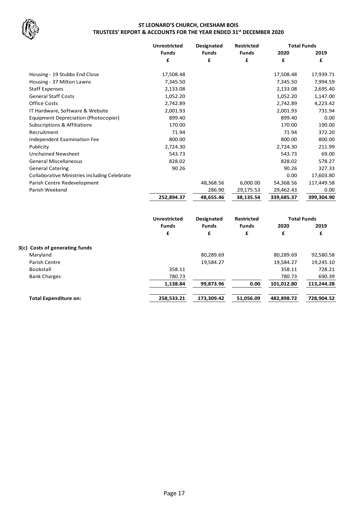

|                                                     | <b>Unrestricted</b> | Designated   | <b>Restricted</b> | <b>Total Funds</b> |            |
|-----------------------------------------------------|---------------------|--------------|-------------------|--------------------|------------|
|                                                     | <b>Funds</b>        | <b>Funds</b> | <b>Funds</b>      | 2020               | 2019       |
|                                                     | £                   | £            | £                 | £                  | £          |
| Housing - 19 Stubbs End Close                       | 17,508.48           |              |                   | 17,508.48          | 17,939.71  |
| Housing - 37 Milton Lawns                           | 7,345.50            |              |                   | 7,345.50           | 7,994.59   |
| <b>Staff Expenses</b>                               | 2,133.08            |              |                   | 2,133.08           | 2,695.40   |
| <b>General Staff Costs</b>                          | 1,052.20            |              |                   | 1,052.20           | 1,147.00   |
| <b>Office Costs</b>                                 | 2,742.89            |              |                   | 2,742.89           | 4,223.42   |
| IT Hardware, Software & Website                     | 2,001.93            |              |                   | 2,001.93           | 731.94     |
| Equipment Depreciation (Photocopier)                | 899.40              |              |                   | 899.40             | 0.00       |
| <b>Subscriptions &amp; Affiliations</b>             | 170.00              |              |                   | 170.00             | 190.00     |
| Recruitment                                         | 71.94               |              |                   | 71.94              | 372.20     |
| Independent Examination Fee                         | 800.00              |              |                   | 800.00             | 800.00     |
| Publicity                                           | 2,724.30            |              |                   | 2,724.30           | 211.99     |
| <b>Unchained Newsheet</b>                           | 543.73              |              |                   | 543.73             | 69.00      |
| <b>General Miscellaneous</b>                        | 828.02              |              |                   | 828.02             | 578.27     |
| <b>General Catering</b>                             | 90.26               |              |                   | 90.26              | 327.33     |
| <b>Collaborative Ministries including Celebrate</b> |                     |              |                   | 0.00               | 17,603.80  |
| Parish Centre Redevelopment                         |                     | 48,368.56    | 6,000.00          | 54,368.56          | 117,449.58 |
| Parish Weekend                                      |                     | 286.90       | 29,175.53         | 29,462.43          | 0.00       |
|                                                     | 252,894.37          | 48,655.46    | 38,135.54         | 339,685.37         | 399,304.90 |

|                                | <b>Unrestricted</b> | <b>Designated</b> | <b>Restricted</b> | <b>Total Funds</b> |            |
|--------------------------------|---------------------|-------------------|-------------------|--------------------|------------|
|                                | <b>Funds</b>        | <b>Funds</b>      | <b>Funds</b>      | 2020<br>£          | 2019       |
|                                | £                   | £                 | £                 |                    | £          |
| 3(c) Costs of generating funds |                     |                   |                   |                    |            |
| Maryland                       |                     | 80,289.69         |                   | 80,289.69          | 92,580.58  |
| Parish Centre                  |                     | 19,584.27         |                   | 19,584.27          | 19,245.10  |
| Bookstall                      | 358.11              |                   |                   | 358.11             | 728.21     |
| <b>Bank Charges</b>            | 780.73              |                   |                   | 780.73             | 690.39     |
|                                | 1,138.84            | 99,873.96         | 0.00              | 101,012.80         | 113,244.28 |
| <b>Total Expenditure on:</b>   | 258.533.21          | 173.309.42        | 51.056.09         | 482.898.72         | 728.904.52 |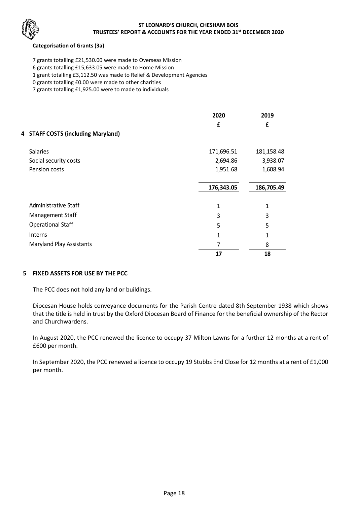

#### **Categorisation of Grants (3a)**

7 grants totalling £21,530.00 were made to Overseas Mission

6 grants totalling £15,633.05 were made to Home Mission

1 grant totalling £3,112.50 was made to Relief & Development Agencies

0 grants totalling £0.00 were made to other charities

7 grants totalling £1,925.00 were to made to individuals

|                                    | 2020       | 2019       |
|------------------------------------|------------|------------|
|                                    | £          | £          |
| 4 STAFF COSTS (including Maryland) |            |            |
| <b>Salaries</b>                    | 171,696.51 | 181,158.48 |
| Social security costs              | 2,694.86   | 3,938.07   |
| Pension costs                      | 1,951.68   | 1,608.94   |
|                                    | 176,343.05 | 186,705.49 |
| Administrative Staff               | 1          | 1          |
| Management Staff                   | 3          | 3          |
| <b>Operational Staff</b>           | 5          | 5          |
| Interns                            | 1          | 1          |
| <b>Maryland Play Assistants</b>    | 7          | 8          |
|                                    | 17         | 18         |

#### **5 FIXED ASSETS FOR USE BY THE PCC**

The PCC does not hold any land or buildings.

Diocesan House holds conveyance documents for the Parish Centre dated 8th September 1938 which shows that the title is held in trust by the Oxford Diocesan Board of Finance for the beneficial ownership of the Rector and Churchwardens.

In August 2020, the PCC renewed the licence to occupy 37 Milton Lawns for a further 12 months at a rent of £600 per month.

In September 2020, the PCC renewed a licence to occupy 19 Stubbs End Close for 12 months at a rent of £1,000 per month.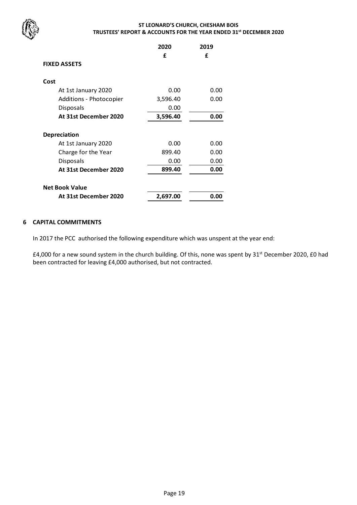

|                         | 2020     | 2019 |
|-------------------------|----------|------|
|                         | f        | f    |
| <b>FIXED ASSETS</b>     |          |      |
|                         |          |      |
| Cost                    |          |      |
| At 1st January 2020     | 0.00     | 0.00 |
| Additions - Photocopier | 3,596.40 | 0.00 |
| Disposals               | 0.00     |      |
| At 31st December 2020   | 3,596.40 | 0.00 |
|                         |          |      |
| <b>Depreciation</b>     |          |      |
| At 1st January 2020     | 0.00     | 0.00 |
| Charge for the Year     | 899.40   | 0.00 |
| Disposals               | 0.00     | 0.00 |
| At 31st December 2020   | 899.40   | 0.00 |
|                         |          |      |
| <b>Net Book Value</b>   |          |      |
| At 31st December 2020   | 2,697.00 | 0.00 |

#### **6 CAPITAL COMMITMENTS**

In 2017 the PCC authorised the following expenditure which was unspent at the year end:

£4,000 for a new sound system in the church building. Of this, none was spent by 31st December 2020, £0 had been contracted for leaving £4,000 authorised, but not contracted.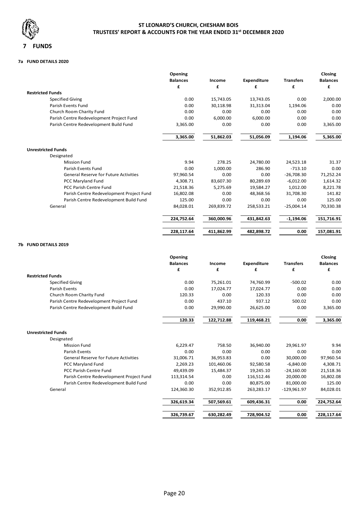

#### **7a FUND DETAILS 2020**

|                                              | Opening         |            |                    |                  | Closing         |
|----------------------------------------------|-----------------|------------|--------------------|------------------|-----------------|
|                                              | <b>Balances</b> | Income     | <b>Expenditure</b> | <b>Transfers</b> | <b>Balances</b> |
|                                              | £               | £          | £                  | £                | £               |
| <b>Restricted Funds</b>                      |                 |            |                    |                  |                 |
| <b>Specified Giving</b>                      | 0.00            | 15,743.05  | 13,743.05          | 0.00             | 2,000.00        |
| Parish Events Fund                           | 0.00            | 30,118.98  | 31,313.04          | 1,194.06         | 0.00            |
| Church Room Charity Fund                     | 0.00            | 0.00       | 0.00               | 0.00             | 0.00            |
| Parish Centre Redevelopment Project Fund     | 0.00            | 6.000.00   | 6.000.00           | 0.00             | 0.00            |
| Parish Centre Redevelopment Build Fund       | 3,365.00        | 0.00       | 0.00               | 0.00             | 3,365.00        |
|                                              | 3,365.00        | 51,862.03  | 51,056.09          | 1,194.06         | 5,365.00        |
| <b>Unrestricted Funds</b>                    |                 |            |                    |                  |                 |
| Designated                                   |                 |            |                    |                  |                 |
| <b>Mission Fund</b>                          | 9.94            | 278.25     | 24,780.00          | 24,523.18        | 31.37           |
| Parish Events Fund                           | 0.00            | 1,000.00   | 286.90             | $-713.10$        | 0.00            |
| <b>General Reserve for Future Activities</b> | 97,960.54       | 0.00       | 0.00               | $-26.708.30$     | 71,252.24       |
| PCC Maryland Fund                            | 4.308.71        | 83,607.30  | 80,289.69          | $-6.012.00$      | 1,614.32        |
| <b>PCC Parish Centre Fund</b>                | 21,518.36       | 5,275.69   | 19,584.27          | 1,012.00         | 8,221.78        |
| Parish Centre Redevelopment Project Fund     | 16,802.08       | 0.00       | 48,368.56          | 31,708.30        | 141.82          |
| Parish Centre Redevelopment Build Fund       | 125.00          | 0.00       | 0.00               | 0.00             | 125.00          |
| General                                      | 84,028.01       | 269,839.72 | 258,533.21         | $-25,004.14$     | 70,330.38       |
|                                              | 224,752.64      | 360,000.96 | 431,842.63         | $-1,194.06$      | 151,716.91      |
|                                              | 228,117.64      | 411,862.99 | 482,898.72         | 0.00             | 157,081.91      |

#### **7b FUND DETAILS 2019**

|                                              | Opening<br><b>Balances</b> | Income     | <b>Expenditure</b> | <b>Transfers</b> | Closing<br><b>Balances</b> |
|----------------------------------------------|----------------------------|------------|--------------------|------------------|----------------------------|
|                                              | £                          | £          | £                  | £                | £                          |
| <b>Restricted Funds</b>                      |                            |            |                    |                  |                            |
| <b>Specified Giving</b>                      | 0.00                       | 75,261.01  | 74,760.99          | $-500.02$        | 0.00                       |
| <b>Parish Events</b>                         | 0.00                       | 17,024.77  | 17,024.77          | 0.00             | 0.00                       |
| Church Room Charity Fund                     | 120.33                     | 0.00       | 120.33             | 0.00             | 0.00                       |
| Parish Centre Redevelopment Project Fund     | 0.00                       | 437.10     | 937.12             | 500.02           | 0.00                       |
| Parish Centre Redevelopment Build Fund       | 0.00                       | 29,990.00  | 26,625.00          | 0.00             | 3,365.00                   |
|                                              | 120.33                     | 122,712.88 | 119,468.21         | 0.00             | 3,365.00                   |
| <b>Unrestricted Funds</b>                    |                            |            |                    |                  |                            |
| Designated                                   |                            |            |                    |                  |                            |
| <b>Mission Fund</b>                          | 6,229.47                   | 758.50     | 36,940.00          | 29,961.97        | 9.94                       |
| <b>Parish Events</b>                         | 0.00                       | 0.00       | 0.00               | 0.00             | 0.00                       |
| <b>General Reserve for Future Activities</b> | 31,006.71                  | 36.953.83  | 0.00               | 30.000.00        | 97,960.54                  |
| PCC Maryland Fund                            | 2.269.23                   | 101,460.06 | 92,580.58          | $-6,840.00$      | 4,308.71                   |
| <b>PCC Parish Centre Fund</b>                | 49,439.09                  | 15,484.37  | 19,245.10          | $-24,160.00$     | 21,518.36                  |
| Parish Centre Redevelopment Project Fund     | 113,314.54                 | 0.00       | 116,512.46         | 20,000.00        | 16,802.08                  |
| Parish Centre Redevelopment Build Fund       | 0.00                       | 0.00       | 80,875.00          | 81,000.00        | 125.00                     |
| General                                      | 124,360.30                 | 352,912.85 | 263,283.17         | $-129,961.97$    | 84,028.01                  |
|                                              | 326,619.34                 | 507,569.61 | 609,436.31         | 0.00             | 224,752.64                 |
|                                              | 326,739.67                 | 630,282.49 | 728,904.52         | 0.00             | 228,117.64                 |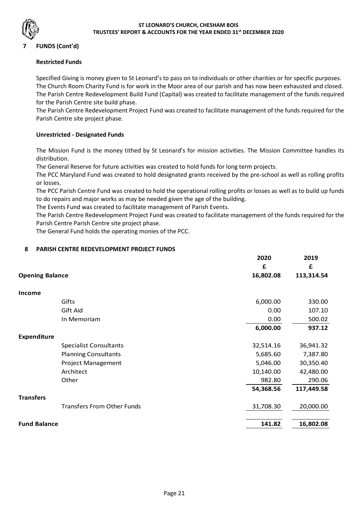## **7 FUNDS (Cont'd)**

#### **Restricted Funds**

Specified Giving is money given to St Leonard's to pass on to individuals or other charities or for specific purposes. The Church Room Charity Fund is for work in the Moor area of our parish and has now been exhausted and closed. The Parish Centre Redevelopment Build Fund (Capital) was created to facilitate management of the funds required for the Parish Centre site build phase.

The Parish Centre Redevelopment Project Fund was created to facilitate management of the funds required for the Parish Centre site project phase.

#### **Unrestricted - Designated Funds**

The Mission Fund is the money tithed by St Leonard's for mission activities. The Mission Committee handles its distribution.

The General Reserve for future activities was created to hold funds for long term projects.

The PCC Maryland Fund was created to hold designated grants received by the pre-school as well as rolling profits or losses.

The PCC Parish Centre Fund was created to hold the operational rolling profits or losses as well as to build up funds to do repairs and major works as may be needed given the age of the building.

The Events Fund was created to facilitate management of Parish Events.

The Parish Centre Redevelopment Project Fund was created to facilitate management of the funds required for the Parish Centre Parish Centre site project phase.

The General Fund holds the operating monies of the PCC.

#### **8 PARISH CENTRE REDEVELOPMENT PROJECT FUNDS**

|                        |                                   | 2020      | 2019       |
|------------------------|-----------------------------------|-----------|------------|
|                        |                                   | £         | £          |
| <b>Opening Balance</b> |                                   | 16,802.08 | 113,314.54 |
| Income                 |                                   |           |            |
|                        | Gifts                             | 6,000.00  | 330.00     |
|                        | Gift Aid                          | 0.00      | 107.10     |
|                        | In Memoriam                       | 0.00      | 500.02     |
|                        |                                   | 6,000.00  | 937.12     |
| <b>Expenditure</b>     |                                   |           |            |
|                        | <b>Specialist Consultants</b>     | 32,514.16 | 36,941.32  |
|                        | <b>Planning Consultants</b>       | 5,685.60  | 7,387.80   |
|                        | Project Management                | 5,046.00  | 30,350.40  |
|                        | Architect                         | 10,140.00 | 42,480.00  |
|                        | Other                             | 982.80    | 290.06     |
|                        |                                   | 54,368.56 | 117,449.58 |
| <b>Transfers</b>       |                                   |           |            |
|                        | <b>Transfers From Other Funds</b> | 31,708.30 | 20,000.00  |
|                        |                                   |           |            |
| <b>Fund Balance</b>    |                                   | 141.82    | 16,802.08  |
|                        |                                   |           |            |